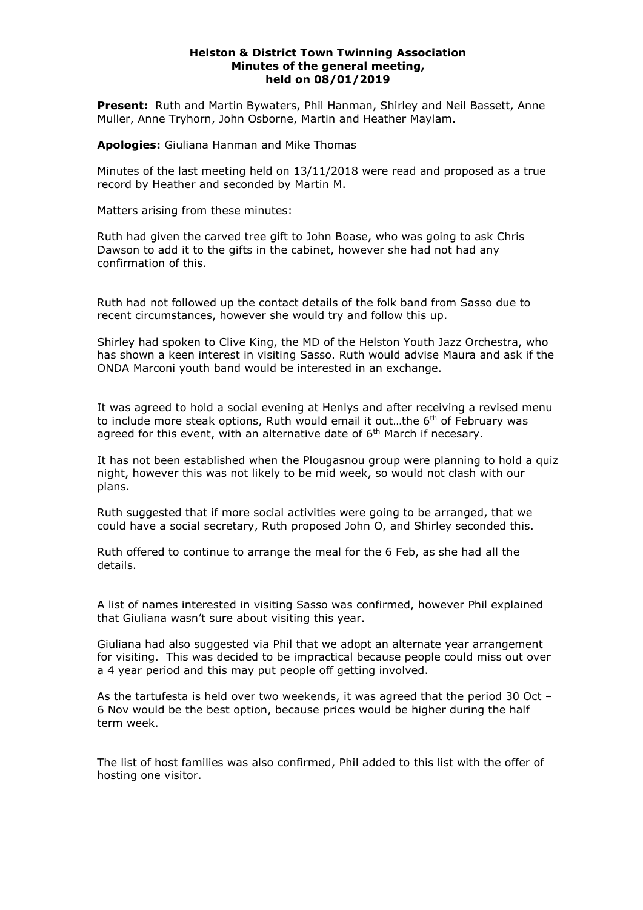## **Helston & District Town Twinning Association Minutes of the general meeting, held on 08/01/2019**

**Present:** Ruth and Martin Bywaters, Phil Hanman, Shirley and Neil Bassett, Anne Muller, Anne Tryhorn, John Osborne, Martin and Heather Maylam.

**Apologies:** Giuliana Hanman and Mike Thomas

Minutes of the last meeting held on 13/11/2018 were read and proposed as a true record by Heather and seconded by Martin M.

Matters arising from these minutes:

Ruth had given the carved tree gift to John Boase, who was going to ask Chris Dawson to add it to the gifts in the cabinet, however she had not had any confirmation of this.

Ruth had not followed up the contact details of the folk band from Sasso due to recent circumstances, however she would try and follow this up.

Shirley had spoken to Clive King, the MD of the Helston Youth Jazz Orchestra, who has shown a keen interest in visiting Sasso. Ruth would advise Maura and ask if the ONDA Marconi youth band would be interested in an exchange.

It was agreed to hold a social evening at Henlys and after receiving a revised menu to include more steak options, Ruth would email it out...the  $6<sup>th</sup>$  of February was agreed for this event, with an alternative date of  $6<sup>th</sup>$  March if necesary.

It has not been established when the Plougasnou group were planning to hold a quiz night, however this was not likely to be mid week, so would not clash with our plans.

Ruth suggested that if more social activities were going to be arranged, that we could have a social secretary, Ruth proposed John O, and Shirley seconded this.

Ruth offered to continue to arrange the meal for the 6 Feb, as she had all the details.

A list of names interested in visiting Sasso was confirmed, however Phil explained that Giuliana wasn't sure about visiting this year.

Giuliana had also suggested via Phil that we adopt an alternate year arrangement for visiting. This was decided to be impractical because people could miss out over a 4 year period and this may put people off getting involved.

As the tartufesta is held over two weekends, it was agreed that the period 30 Oct – 6 Nov would be the best option, because prices would be higher during the half term week.

The list of host families was also confirmed, Phil added to this list with the offer of hosting one visitor.